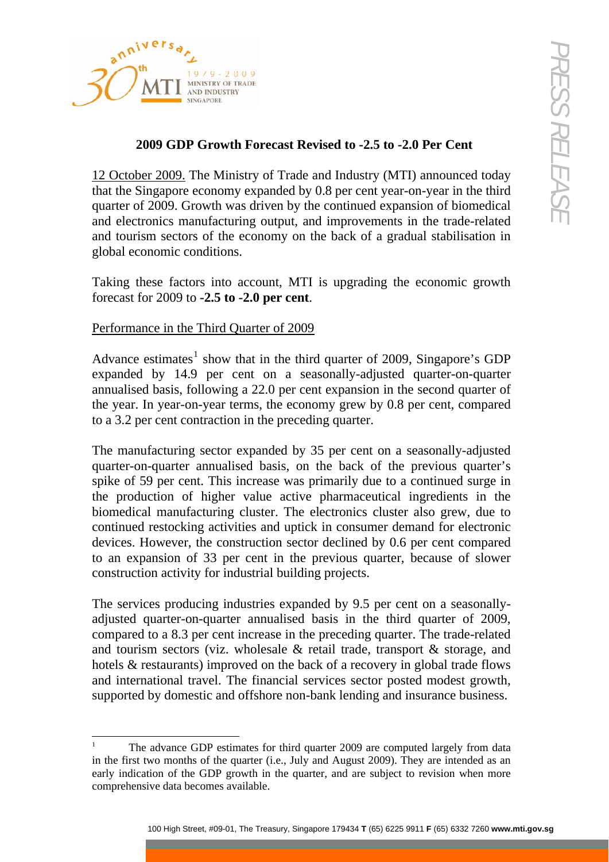

## **2009 GDP Growth Forecast Revised to -2.5 to -2.0 Per Cent**

12 October 2009. The Ministry of Trade and Industry (MTI) announced today that the Singapore economy expanded by 0.8 per cent year-on-year in the third quarter of 2009. Growth was driven by the continued expansion of biomedical and electronics manufacturing output, and improvements in the trade-related and tourism sectors of the economy on the back of a gradual stabilisation in global economic conditions.

Taking these factors into account, MTI is upgrading the economic growth forecast for 2009 to **-2.5 to -2.0 per cent**.

## Performance in the Third Quarter of 2009

-

Advance estimates<sup>[1](#page-0-0)</sup> show that in the third quarter of 2009, Singapore's GDP expanded by 14.9 per cent on a seasonally-adjusted quarter-on-quarter annualised basis, following a 22.0 per cent expansion in the second quarter of the year. In year-on-year terms, the economy grew by 0.8 per cent, compared to a 3.2 per cent contraction in the preceding quarter.

**EVALUATE STREET STREET STREET STREET STREET STREET STREET STREET STREET STREET STREET STREET STREET STREET STREET STREET STREET STREET STREET STREET STREET STREET STREET STREET STREET STREET STREET AND A SURFACT STREET S** The manufacturing sector expanded by 35 per cent on a seasonally-adjusted quarter-on-quarter annualised basis, on the back of the previous quarter's spike of 59 per cent. This increase was primarily due to a continued surge in the production of higher value active pharmaceutical ingredients in the biomedical manufacturing cluster. The electronics cluster also grew, due to continued restocking activities and uptick in consumer demand for electronic devices. However, the construction sector declined by 0.6 per cent compared to an expansion of 33 per cent in the previous quarter, because of slower construction activity for industrial building projects.

The services producing industries expanded by 9.5 per cent on a seasonallyadjusted quarter-on-quarter annualised basis in the third quarter of 2009, compared to a 8.3 per cent increase in the preceding quarter. The trade-related and tourism sectors (viz. wholesale & retail trade, transport & storage, and hotels & restaurants) improved on the back of a recovery in global trade flows and international travel. The financial services sector posted modest growth, supported by domestic and offshore non-bank lending and insurance business.

<span id="page-0-0"></span><sup>1</sup> The advance GDP estimates for third quarter 2009 are computed largely from data in the first two months of the quarter (i.e., July and August 2009). They are intended as an early indication of the GDP growth in the quarter, and are subject to revision when more comprehensive data becomes available.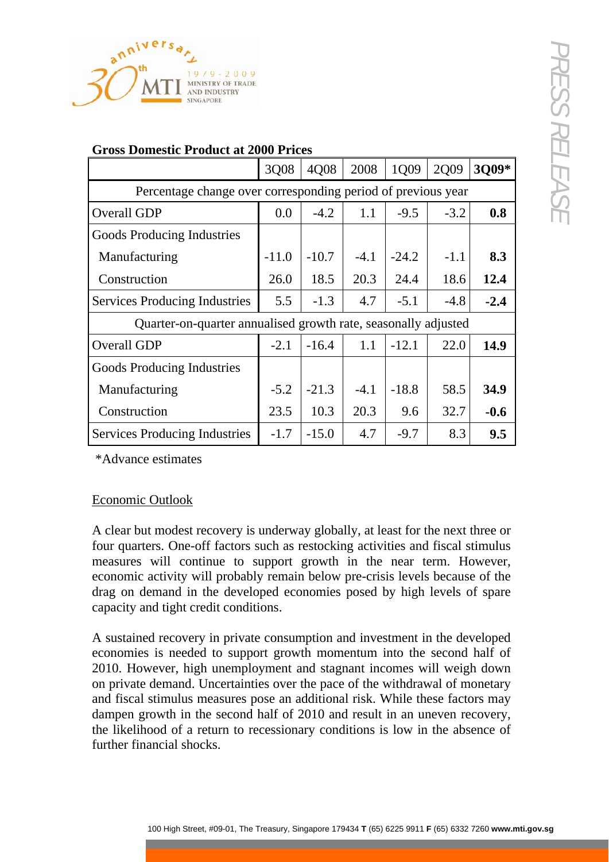

| Percentage change over corresponding period of previous year<br><b>Overall GDP</b><br>Goods Producing Industries<br>Manufacturing<br>Construction<br><b>Services Producing Industries</b><br>Quarter-on-quarter annualised growth rate, seasonally adjusted<br><b>Overall GDP</b><br>Goods Producing Industries<br>Manufacturing<br>Construction<br><b>Services Producing Industries</b><br>*Advance estimates                                                                                                                                                                               | 0.0<br>$-11.0$<br>26.0<br>5.5<br>$-2.1$<br>$-5.2$<br>23.5 | $-4.2$<br>$-10.7$<br>18.5<br>$-1.3$<br>$-16.4$<br>$-21.3$ | 1.1<br>$-4.1$<br>20.3<br>4.7<br>1.1 | $-9.5$<br>$-24.2$<br>24.4<br>$-5.1$<br>$-12.1$ | $-3.2$<br>$-1.1$<br>18.6<br>$-4.8$<br>22.0 | 0.8<br>8.3<br>12.4<br>$-2.4$ |
|----------------------------------------------------------------------------------------------------------------------------------------------------------------------------------------------------------------------------------------------------------------------------------------------------------------------------------------------------------------------------------------------------------------------------------------------------------------------------------------------------------------------------------------------------------------------------------------------|-----------------------------------------------------------|-----------------------------------------------------------|-------------------------------------|------------------------------------------------|--------------------------------------------|------------------------------|
|                                                                                                                                                                                                                                                                                                                                                                                                                                                                                                                                                                                              |                                                           |                                                           |                                     |                                                |                                            |                              |
|                                                                                                                                                                                                                                                                                                                                                                                                                                                                                                                                                                                              |                                                           |                                                           |                                     |                                                |                                            |                              |
|                                                                                                                                                                                                                                                                                                                                                                                                                                                                                                                                                                                              |                                                           |                                                           |                                     |                                                |                                            |                              |
|                                                                                                                                                                                                                                                                                                                                                                                                                                                                                                                                                                                              |                                                           |                                                           |                                     |                                                |                                            |                              |
|                                                                                                                                                                                                                                                                                                                                                                                                                                                                                                                                                                                              |                                                           |                                                           |                                     |                                                |                                            |                              |
|                                                                                                                                                                                                                                                                                                                                                                                                                                                                                                                                                                                              |                                                           |                                                           |                                     |                                                |                                            |                              |
|                                                                                                                                                                                                                                                                                                                                                                                                                                                                                                                                                                                              |                                                           |                                                           |                                     |                                                |                                            |                              |
|                                                                                                                                                                                                                                                                                                                                                                                                                                                                                                                                                                                              |                                                           |                                                           |                                     |                                                |                                            | 14.9                         |
|                                                                                                                                                                                                                                                                                                                                                                                                                                                                                                                                                                                              |                                                           |                                                           |                                     |                                                |                                            |                              |
|                                                                                                                                                                                                                                                                                                                                                                                                                                                                                                                                                                                              |                                                           |                                                           | $-4.1$                              | $-18.8$                                        | 58.5                                       | 34.9                         |
|                                                                                                                                                                                                                                                                                                                                                                                                                                                                                                                                                                                              |                                                           | 10.3                                                      | 20.3                                | 9.6                                            | 32.7                                       | $-0.6$                       |
|                                                                                                                                                                                                                                                                                                                                                                                                                                                                                                                                                                                              | $-1.7$                                                    | $-15.0$                                                   | 4.7                                 | $-9.7$                                         | 8.3                                        | 9.5                          |
| <b>Economic Outlook</b><br>A clear but modest recovery is underway globally, at least for the next three or<br>four quarters. One-off factors such as restocking activities and fiscal stimulus<br>measures will continue to support growth in the near term. However,<br>economic activity will probably remain below pre-crisis levels because of the<br>drag on demand in the developed economies posed by high levels of spare<br>capacity and tight credit conditions.                                                                                                                  |                                                           |                                                           |                                     |                                                |                                            |                              |
| A sustained recovery in private consumption and investment in the developed<br>economies is needed to support growth momentum into the second half of<br>2010. However, high unemployment and stagnant incomes will weigh down<br>on private demand. Uncertainties over the pace of the withdrawal of monetary<br>and fiscal stimulus measures pose an additional risk. While these factors may<br>dampen growth in the second half of 2010 and result in an uneven recovery,<br>the likelihood of a return to recessionary conditions is low in the absence of<br>further financial shocks. |                                                           |                                                           |                                     |                                                |                                            |                              |

## **Gross Domestic Product at 2000 Prices**

## Economic Outlook